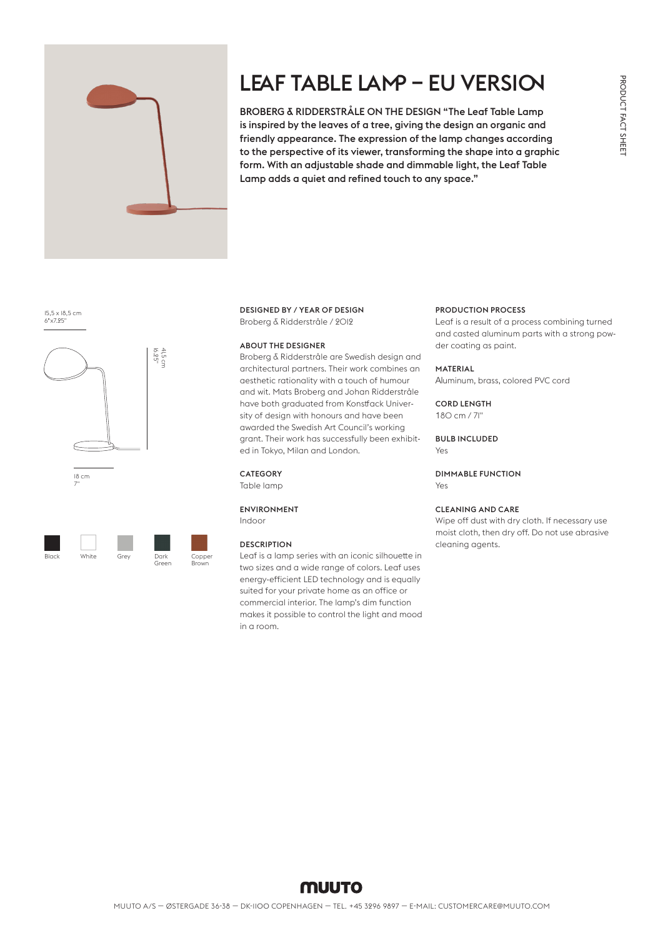

# LEAF TABLE LAMP – EU VERSION

BROBERG & RIDDERSTRÅLE ON THE DESIGN "The Leaf Table Lamp is inspired by the leaves of a tree, giving the design an organic and friendly appearance. The expression of the lamp changes according to the perspective of its viewer, transforming the shape into a graphic form. With an adjustable shade and dimmable light, the Leaf Table Lamp adds a quiet and refined touch to any space."

15,5 x 18,5 cm  $6"x7.95"$ 



 $^{\prime}$ 

18 cm

Black White Grey Dark Green Coppe<sup>-</sup> Brown

16.25" 41,5 cm

#### DESIGNED BY / YEAR OF DESIGN Broberg & Ridderstråle / 2012

#### ABOUT THE DESIGNER

Broberg & Ridderstråle are Swedish design and architectural partners. Their work combines an aesthetic rationality with a touch of humour and wit. Mats Broberg and Johan Ridderstråle have both graduated from Konstfack University of design with honours and have been awarded the Swedish Art Council's working grant. Their work has successfully been exhibited in Tokyo, Milan and London.

### CATEGORY

Table lamp

#### ENVIRONMENT Indoor

#### **DESCRIPTION**

Leaf is a lamp series with an iconic silhouette in two sizes and a wide range of colors. Leaf uses energy-efficient LED technology and is equally suited for your private home as an office or commercial interior. The lamp's dim function makes it possible to control the light and mood in a room.

#### PRODUCTION PROCESS

Leaf is a result of a process combining turned and casted aluminum parts with a strong powder coating as paint.

#### MATERIAL

Aluminum, brass, colored PVC cord

#### CORD LENGTH

180 cm / 71"

#### BULB INCLUDED Yes

DIMMABLE FUNCTION Yes

#### CLEANING AND CARE

Wipe off dust with dry cloth. If necessary use moist cloth, then dry off. Do not use abrasive cleaning agents.